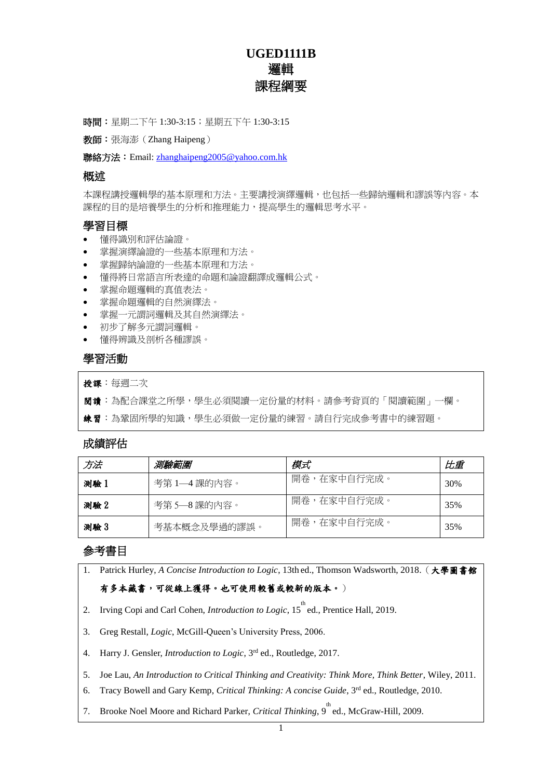# **UGED1111B** 邏輯 課程綱要

時間:星期二下午 1:30-3:15;星期五下午 1:30-3:15

教師:張海澎(Zhang Haipeng)

聯絡方法: Email: [zhanghaipeng2005@yahoo.com.hk](mailto:zhanghaipeng2005@yahoo.com.hk)

#### 概述

本課程講授邏輯學的基本原理和方法。主要講授演繹邏輯,也包括一些歸納邏輯和謬誤等內容。本 課程的目的是培養學生的分析和推理能力,提高學生的邏輯思考水平。

#### 學習目標

- 懂得識別和評估論證。
- 掌握演繹論證的一些基本原理和方法。
- 掌握歸納論證的一些基本原理和方法。
- 懂得將日常語言所表達的命題和論證翻譯成邏輯公式。
- 掌握命題邏輯的真值表法。
- 掌握命題邏輯的自然演繹法。
- 掌握一元謂詞邏輯及其自然演繹法。
- 初步了解多元謂詞邏輯。
- 懂得辨識及剖析各種謬誤。

#### 學習活動

授課:每週二次

閱讀:為配合課堂之所學,學生必須閱讀一定份量的材料。請參考背頁的「閱讀範圍」一欄。

**練習**: 為鞏固所學的知識, 學生必須做一定份量的練習。請自行完成參考書中的練習題。

#### 成績評估

| 方法   | 測驗範圍         | 模式          | 比重  |
|------|--------------|-------------|-----|
| 測驗 1 | 考第1—4課的內容。   | 開卷,在家中自行完成。 | 30% |
| 測驗 2 | 考第5—8課的內容。   | 開卷,在家中自行完成。 | 35% |
| 測驗 3 | 考基本概念及學過的謬誤。 | 開卷,在家中自行完成。 | 35% |

#### 參考書目

1. Patrick Hurley, *A Concise Introduction to Logic*, 13th ed., Thomson Wadsworth, 2018.(大學圖書館 有多本藏書,可從線上獲得。也可使用較舊或較新的版本。)

- 2. Irving Copi and Carl Cohen, *Introduction to Logic*, 15<sup>th</sup> ed., Prentice Hall, 2019.
- 3. Greg Restall, *Logic*, McGill-Queen's University Press, 2006.
- 4. Harry J. Gensler, *Introduction to Logic*, 3rd ed., Routledge, 2017.

5. Joe Lau, *An Introduction to Critical Thinking and Creativity: Think More, Think Better*, Wiley, 2011.

- 6. Tracy Bowell and Gary Kemp, *Critical Thinking: A concise Guide*, 3rd ed., Routledge, 2010.
- 7. Brooke Noel Moore and Richard Parker, *Critical Thinking*, 9<sup>th</sup> ed., McGraw-Hill, 2009.